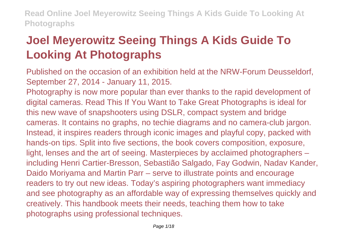# **Joel Meyerowitz Seeing Things A Kids Guide To Looking At Photographs**

Published on the occasion of an exhibition held at the NRW-Forum Deusseldorf, September 27, 2014 - January 11, 2015.

Photography is now more popular than ever thanks to the rapid development of digital cameras. Read This If You Want to Take Great Photographs is ideal for this new wave of snapshooters using DSLR, compact system and bridge cameras. It contains no graphs, no techie diagrams and no camera-club jargon. Instead, it inspires readers through iconic images and playful copy, packed with hands-on tips. Split into five sections, the book covers composition, exposure, light, lenses and the art of seeing. Masterpieces by acclaimed photographers – including Henri Cartier-Bresson, Sebastião Salgado, Fay Godwin, Nadav Kander, Daido Moriyama and Martin Parr – serve to illustrate points and encourage readers to try out new ideas. Today's aspiring photographers want immediacy and see photography as an affordable way of expressing themselves quickly and creatively. This handbook meets their needs, teaching them how to take photographs using professional techniques.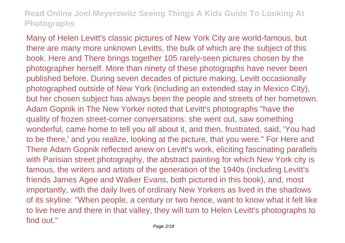Many of Helen Levitt's classic pictures of New York City are world-famous, but there are many more unknown Levitts, the bulk of which are the subject of this book. Here and There brings together 105 rarely-seen pictures chosen by the photographer herself. More than ninety of these photographs have never been published before. During seven decades of picture making, Levitt occasionally photographed outside of New York (including an extended stay in Mexico City), but her chosen subject has always been the people and streets of her hometown. Adam Gopnik in The New Yorker noted that Levitt's photographs "have the quality of frozen street-corner conversations: she went out, saw something wonderful, came home to tell you all about it, and then, frustrated, said, 'You had to be there,' and you realize, looking at the picture, that you were." For Here and There Adam Gopnik reflected anew on Levitt's work, eliciting fascinating parallels with Parisian street photography, the abstract painting for which New York city is famous, the writers and artists of the generation of the 1940s (including Levitt's friends James Agee and Walker Evans, both pictured in this book), and, most importantly, with the daily lives of ordinary New Yorkers as lived in the shadows of its skyline: "When people, a century or two hence, want to know what it felt like to live here and there in that valley, they will turn to Helen Levitt's photographs to find out."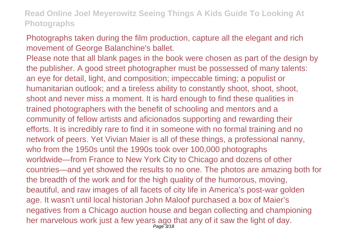Photographs taken during the film production, capture all the elegant and rich movement of George Balanchine's ballet.

Please note that all blank pages in the book were chosen as part of the design by the publisher. A good street photographer must be possessed of many talents: an eye for detail, light, and composition; impeccable timing; a populist or humanitarian outlook; and a tireless ability to constantly shoot, shoot, shoot, shoot and never miss a moment. It is hard enough to find these qualities in trained photographers with the benefit of schooling and mentors and a community of fellow artists and aficionados supporting and rewarding their efforts. It is incredibly rare to find it in someone with no formal training and no network of peers. Yet Vivian Maier is all of these things, a professional nanny, who from the 1950s until the 1990s took over 100,000 photographs worldwide—from France to New York City to Chicago and dozens of other countries—and yet showed the results to no one. The photos are amazing both for the breadth of the work and for the high quality of the humorous, moving, beautiful, and raw images of all facets of city life in America's post-war golden age. It wasn't until local historian John Maloof purchased a box of Maier's negatives from a Chicago auction house and began collecting and championing her marvelous work just a few years ago that any of it saw the light of day. Page 3/18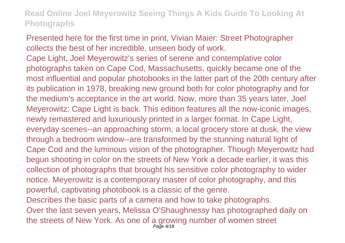Presented here for the first time in print, Vivian Maier: Street Photographer collects the best of her incredible, unseen body of work. Cape Light, Joel Meyerowitz's series of serene and contemplative color photographs taken on Cape Cod, Massachusetts, quickly became one of the most influential and popular photobooks in the latter part of the 20th century after its publication in 1978, breaking new ground both for color photography and for the medium's acceptance in the art world. Now, more than 35 years later, Joel Meyerowitz: Cape Light is back. This edition features all the now-iconic images, newly remastered and luxuriously printed in a larger format. In Cape Light, everyday scenes--an approaching storm, a local grocery store at dusk, the view through a bedroom window--are transformed by the stunning natural light of Cape Cod and the luminous vision of the photographer. Though Meyerowitz had begun shooting in color on the streets of New York a decade earlier, it was this collection of photographs that brought his sensitive color photography to wider notice. Meyerowitz is a contemporary master of color photography, and this powerful, captivating photobook is a classic of the genre. Describes the basic parts of a camera and how to take photographs. Over the last seven years, Melissa O'Shaughnessy has photographed daily on the streets of New York. As one of a growing number of women street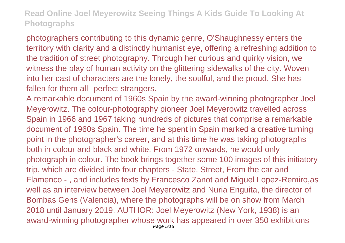photographers contributing to this dynamic genre, O'Shaughnessy enters the territory with clarity and a distinctly humanist eye, offering a refreshing addition to the tradition of street photography. Through her curious and quirky vision, we witness the play of human activity on the glittering sidewalks of the city. Woven into her cast of characters are the lonely, the soulful, and the proud. She has fallen for them all--perfect strangers.

A remarkable document of 1960s Spain by the award-winning photographer Joel Meyerowitz. The colour-photography pioneer Joel Meyerowitz travelled across Spain in 1966 and 1967 taking hundreds of pictures that comprise a remarkable document of 1960s Spain. The time he spent in Spain marked a creative turning point in the photographer's career, and at this time he was taking photographs both in colour and black and white. From 1972 onwards, he would only photograph in colour. The book brings together some 100 images of this initiatory trip, which are divided into four chapters - State, Street, From the car and Flamenco - , and includes texts by Francesco Zanot and Miguel Lopez-Remiro,as well as an interview between Joel Meyerowitz and Nuria Enguita, the director of Bombas Gens (Valencia), where the photographs will be on show from March 2018 until January 2019. AUTHOR: Joel Meyerowitz (New York, 1938) is an award-winning photographer whose work has appeared in over 350 exhibitions Page 5/18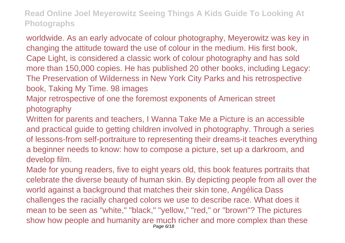worldwide. As an early advocate of colour photography, Meyerowitz was key in changing the attitude toward the use of colour in the medium. His first book, Cape Light, is considered a classic work of colour photography and has sold more than 150,000 copies. He has published 20 other books, including Legacy: The Preservation of Wilderness in New York City Parks and his retrospective book, Taking My Time. 98 images

Major retrospective of one the foremost exponents of American street photography

Written for parents and teachers, I Wanna Take Me a Picture is an accessible and practical guide to getting children involved in photography. Through a series of lessons-from self-portraiture to representing their dreams-it teaches everything a beginner needs to know: how to compose a picture, set up a darkroom, and develop film.

Made for young readers, five to eight years old, this book features portraits that celebrate the diverse beauty of human skin. By depicting people from all over the world against a background that matches their skin tone, Angélica Dass challenges the racially charged colors we use to describe race. What does it mean to be seen as "white," "black," "yellow," "red," or "brown"? The pictures show how people and humanity are much richer and more complex than these Page 6/18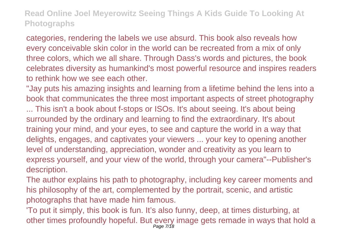categories, rendering the labels we use absurd. This book also reveals how every conceivable skin color in the world can be recreated from a mix of only three colors, which we all share. Through Dass's words and pictures, the book celebrates diversity as humankind's most powerful resource and inspires readers to rethink how we see each other.

"Jay puts his amazing insights and learning from a lifetime behind the lens into a book that communicates the three most important aspects of street photography ... This isn't a book about f-stops or ISOs. It's about seeing. It's about being surrounded by the ordinary and learning to find the extraordinary. It's about training your mind, and your eyes, to see and capture the world in a way that delights, engages, and captivates your viewers ... your key to opening another level of understanding, appreciation, wonder and creativity as you learn to express yourself, and your view of the world, through your camera"--Publisher's description.

The author explains his path to photography, including key career moments and his philosophy of the art, complemented by the portrait, scenic, and artistic photographs that have made him famous.

'To put it simply, this book is fun. It's also funny, deep, at times disturbing, at other times profoundly hopeful. But every image gets remade in ways that hold a Page 7/18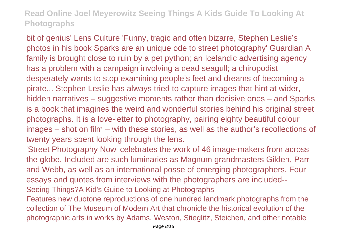bit of genius' Lens Culture 'Funny, tragic and often bizarre, Stephen Leslie's photos in his book Sparks are an unique ode to street photography' Guardian A family is brought close to ruin by a pet python; an Icelandic advertising agency has a problem with a campaign involving a dead seagull; a chiropodist desperately wants to stop examining people's feet and dreams of becoming a pirate... Stephen Leslie has always tried to capture images that hint at wider, hidden narratives – suggestive moments rather than decisive ones – and Sparks is a book that imagines the weird and wonderful stories behind his original street photographs. It is a love-letter to photography, pairing eighty beautiful colour images – shot on film – with these stories, as well as the author's recollections of twenty years spent looking through the lens.

'Street Photography Now' celebrates the work of 46 image-makers from across the globe. Included are such luminaries as Magnum grandmasters Gilden, Parr and Webb, as well as an international posse of emerging photographers. Four essays and quotes from interviews with the photographers are included-- Seeing Things?A Kid's Guide to Looking at Photographs

Features new duotone reproductions of one hundred landmark photographs from the collection of The Museum of Modern Art that chronicle the historical evolution of the photographic arts in works by Adams, Weston, Stieglitz, Steichen, and other notable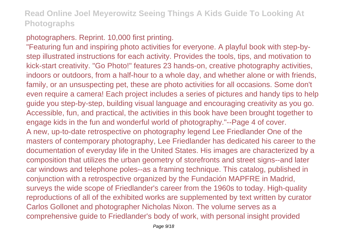#### photographers. Reprint. 10,000 first printing.

"Featuring fun and inspiring photo activities for everyone. A playful book with step-bystep illustrated instructions for each activity. Provides the tools, tips, and motivation to kick-start creativity. "Go Photo!" features 23 hands-on, creative photography activities, indoors or outdoors, from a half-hour to a whole day, and whether alone or with friends, family, or an unsuspecting pet, these are photo activities for all occasions. Some don't even require a camera! Each project includes a series of pictures and handy tips to help guide you step-by-step, building visual language and encouraging creativity as you go. Accessible, fun, and practical, the activities in this book have been brought together to engage kids in the fun and wonderful world of photography."--Page 4 of cover. A new, up-to-date retrospective on photography legend Lee Friedlander One of the masters of contemporary photography, Lee Friedlander has dedicated his career to the documentation of everyday life in the United States. His images are characterized by a composition that utilizes the urban geometry of storefronts and street signs--and later car windows and telephone poles--as a framing technique. This catalog, published in conjunction with a retrospective organized by the Fundación MAPFRE in Madrid, surveys the wide scope of Friedlander's career from the 1960s to today. High-quality reproductions of all of the exhibited works are supplemented by text written by curator Carlos Gollonet and photographer Nicholas Nixon. The volume serves as a comprehensive guide to Friedlander's body of work, with personal insight provided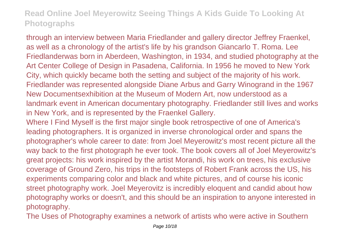through an interview between Maria Friedlander and gallery director Jeffrey Fraenkel, as well as a chronology of the artist's life by his grandson Giancarlo T. Roma. Lee Friedlanderwas born in Aberdeen, Washington, in 1934, and studied photography at the Art Center College of Design in Pasadena, California. In 1956 he moved to New York City, which quickly became both the setting and subject of the majority of his work. Friedlander was represented alongside Diane Arbus and Garry Winogrand in the 1967 New Documentsexhibition at the Museum of Modern Art, now understood as a landmark event in American documentary photography. Friedlander still lives and works in New York, and is represented by the Fraenkel Gallery.

Where I Find Myself is the first major single book retrospective of one of America's leading photographers. It is organized in inverse chronological order and spans the photographer's whole career to date: from Joel Meyerowitz's most recent picture all the way back to the first photograph he ever took. The book covers all of Joel Meyerowitz's great projects: his work inspired by the artist Morandi, his work on trees, his exclusive coverage of Ground Zero, his trips in the footsteps of Robert Frank across the US, his experiments comparing color and black and white pictures, and of course his iconic street photography work. Joel Meyerovitz is incredibly eloquent and candid about how photography works or doesn't, and this should be an inspiration to anyone interested in photography.

The Uses of Photography examines a network of artists who were active in Southern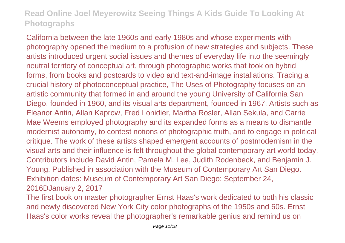California between the late 1960s and early 1980s and whose experiments with photography opened the medium to a profusion of new strategies and subjects. These artists introduced urgent social issues and themes of everyday life into the seemingly neutral territory of conceptual art, through photographic works that took on hybrid forms, from books and postcards to video and text-and-image installations. Tracing a crucial history of photoconceptual practice, The Uses of Photography focuses on an artistic community that formed in and around the young University of California San Diego, founded in 1960, and its visual arts department, founded in 1967. Artists such as Eleanor Antin, Allan Kaprow, Fred Lonidier, Martha Rosler, Allan Sekula, and Carrie Mae Weems employed photography and its expanded forms as a means to dismantle modernist autonomy, to contest notions of photographic truth, and to engage in political critique. The work of these artists shaped emergent accounts of postmodernism in the visual arts and their influence is felt throughout the global contemporary art world today. Contributors include David Antin, Pamela M. Lee, Judith Rodenbeck, and Benjamin J. Young. Published in association with the Museum of Contemporary Art San Diego. Exhibition dates: Museum of Contemporary Art San Diego: September 24, 2016ÐJanuary 2, 2017

The first book on master photographer Ernst Haas's work dedicated to both his classic and newly discovered New York City color photographs of the 1950s and 60s. Ernst Haas's color works reveal the photographer's remarkable genius and remind us on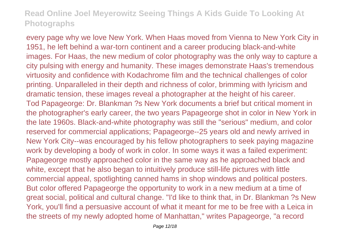every page why we love New York. When Haas moved from Vienna to New York City in 1951, he left behind a war-torn continent and a career producing black-and-white images. For Haas, the new medium of color photography was the only way to capture a city pulsing with energy and humanity. These images demonstrate Haas's tremendous virtuosity and confidence with Kodachrome film and the technical challenges of color printing. Unparalleled in their depth and richness of color, brimming with lyricism and dramatic tension, these images reveal a photographer at the height of his career. Tod Papageorge: Dr. Blankman ?s New York documents a brief but critical moment in the photographer's early career, the two years Papageorge shot in color in New York in the late 1960s. Black-and-white photography was still the "serious" medium, and color reserved for commercial applications; Papageorge--25 years old and newly arrived in New York City--was encouraged by his fellow photographers to seek paying magazine work by developing a body of work in color. In some ways it was a failed experiment: Papageorge mostly approached color in the same way as he approached black and white, except that he also began to intuitively produce still-life pictures with little commercial appeal, spotlighting canned hams in shop windows and political posters. But color offered Papageorge the opportunity to work in a new medium at a time of great social, political and cultural change. "I'd like to think that, in Dr. Blankman ?s New York, you'll find a persuasive account of what it meant for me to be free with a Leica in the streets of my newly adopted home of Manhattan," writes Papageorge, "a record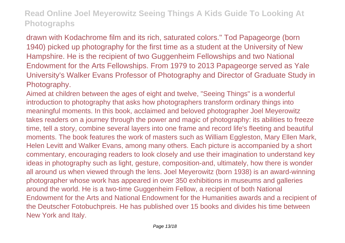drawn with Kodachrome film and its rich, saturated colors." Tod Papageorge (born 1940) picked up photography for the first time as a student at the University of New Hampshire. He is the recipient of two Guggenheim Fellowships and two National Endowment for the Arts Fellowships. From 1979 to 2013 Papageorge served as Yale University's Walker Evans Professor of Photography and Director of Graduate Study in Photography.

Aimed at children between the ages of eight and twelve, "Seeing Things" is a wonderful introduction to photography that asks how photographers transform ordinary things into meaningful moments. In this book, acclaimed and beloved photographer Joel Meyerowitz takes readers on a journey through the power and magic of photography: its abilities to freeze time, tell a story, combine several layers into one frame and record life's fleeting and beautiful moments. The book features the work of masters such as William Eggleston, Mary Ellen Mark, Helen Levitt and Walker Evans, among many others. Each picture is accompanied by a short commentary, encouraging readers to look closely and use their imagination to understand key ideas in photography such as light, gesture, composition-and, ultimately, how there is wonder all around us when viewed through the lens. Joel Meyerowitz (born 1938) is an award-winning photographer whose work has appeared in over 350 exhibitions in museums and galleries around the world. He is a two-time Guggenheim Fellow, a recipient of both National Endowment for the Arts and National Endowment for the Humanities awards and a recipient of the Deutscher Fotobuchpreis. He has published over 15 books and divides his time between New York and Italy.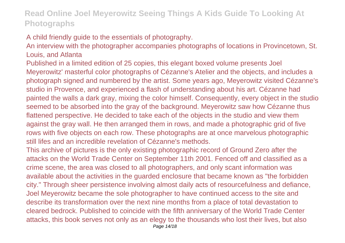#### A child friendly guide to the essentials of photography.

An interview with the photographer accompanies photographs of locations in Provincetown, St. Louis, and Atlanta

Published in a limited edition of 25 copies, this elegant boxed volume presents Joel Meyerowitz' masterful color photographs of Cézanne's Atelier and the objects, and includes a photograph signed and numbered by the artist. Some years ago, Meyerowitz visited Cézanne's studio in Provence, and experienced a flash of understanding about his art. Cézanne had painted the walls a dark gray, mixing the color himself. Consequently, every object in the studio seemed to be absorbed into the gray of the background. Meyerowitz saw how Cézanne thus flattened perspective. He decided to take each of the objects in the studio and view them against the gray wall. He then arranged them in rows, and made a photographic grid of five rows with five objects on each row. These photographs are at once marvelous photographic still lifes and an incredible revelation of Cézanne's methods.

This archive of pictures is the only existing photographic record of Ground Zero after the attacks on the World Trade Center on September 11th 2001. Fenced off and classified as a crime scene, the area was closed to all photographers, and only scant information was available about the activities in the guarded enclosure that became known as "the forbidden city." Through sheer persistence involving almost daily acts of resourcefulness and defiance, Joel Meyerowitz became the sole photographer to have continued access to the site and describe its transformation over the next nine months from a place of total devastation to cleared bedrock. Published to coincide with the fifth anniversary of the World Trade Center attacks, this book serves not only as an elegy to the thousands who lost their lives, but also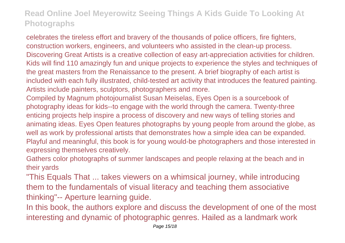celebrates the tireless effort and bravery of the thousands of police officers, fire fighters, construction workers, engineers, and volunteers who assisted in the clean-up process. Discovering Great Artists is a creative collection of easy art-appreciation activities for children. Kids will find 110 amazingly fun and unique projects to experience the styles and techniques of the great masters from the Renaissance to the present. A brief biography of each artist is included with each fully illustrated, child-tested art activity that introduces the featured painting. Artists include painters, sculptors, photographers and more.

Compiled by Magnum photojournalist Susan Meiselas, Eyes Open is a sourcebook of photography ideas for kids--to engage with the world through the camera. Twenty-three enticing projects help inspire a process of discovery and new ways of telling stories and animating ideas. Eyes Open features photographs by young people from around the globe, as well as work by professional artists that demonstrates how a simple idea can be expanded. Playful and meaningful, this book is for young would-be photographers and those interested in expressing themselves creatively.

Gathers color photographs of summer landscapes and people relaxing at the beach and in their yards

"This Equals That ... takes viewers on a whimsical journey, while introducing them to the fundamentals of visual literacy and teaching them associative thinking"-- Aperture learning guide.

In this book, the authors explore and discuss the development of one of the most interesting and dynamic of photographic genres. Hailed as a landmark work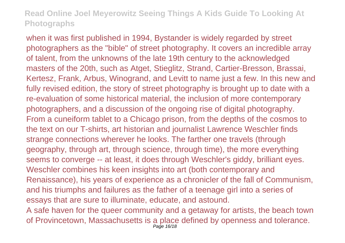when it was first published in 1994, Bystander is widely regarded by street photographers as the "bible" of street photography. It covers an incredible array of talent, from the unknowns of the late 19th century to the acknowledged masters of the 20th, such as Atget, Stieglitz, Strand, Cartier-Bresson, Brassai, Kertesz, Frank, Arbus, Winogrand, and Levitt to name just a few. In this new and fully revised edition, the story of street photography is brought up to date with a re-evaluation of some historical material, the inclusion of more contemporary photographers, and a discussion of the ongoing rise of digital photography. From a cuneiform tablet to a Chicago prison, from the depths of the cosmos to the text on our T-shirts, art historian and journalist Lawrence Weschler finds strange connections wherever he looks. The farther one travels (through geography, through art, through science, through time), the more everything seems to converge -- at least, it does through Weschler's giddy, brilliant eyes. Weschler combines his keen insights into art (both contemporary and Renaissance), his years of experience as a chronicler of the fall of Communism, and his triumphs and failures as the father of a teenage girl into a series of essays that are sure to illuminate, educate, and astound. A safe haven for the queer community and a getaway for artists, the beach town

of Provincetown, Massachusetts is a place defined by openness and tolerance. Page 16/18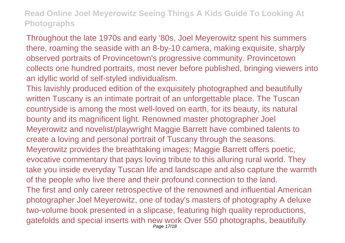Throughout the late 1970s and early '80s, Joel Meyerowitz spent his summers there, roaming the seaside with an 8-by-10 camera, making exquisite, sharply observed portraits of Provincetown's progressive community. Provincetown collects one hundred portraits, most never before published, bringing viewers into an idyllic world of self-styled individualism.

This lavishly produced edition of the exquisitely photographed and beautifully written Tuscany is an intimate portrait of an unforgettable place. The Tuscan countryside is among the most well-loved on earth, for its beauty, its natural bounty and its magnificent light. Renowned master photographer Joel Meyerowitz and novelist/playwright Maggie Barrett have combined talents to create a loving and personal portrait of Tuscany through the seasons. Meyerowitz provides the breathtaking images; Maggie Barrett offers poetic, evocative commentary that pays loving tribute to this alluring rural world. They take you inside everyday Tuscan life and landscape and also capture the warmth of the people who live there and their profound connection to the land. The first and only career retrospective of the renowned and influential American photographer Joel Meyerowitz, one of today's masters of photography A deluxe two-volume book presented in a slipcase, featuring high quality reproductions, gatefolds and special inserts with new work Over 550 photographs, beautifully Page 17/18